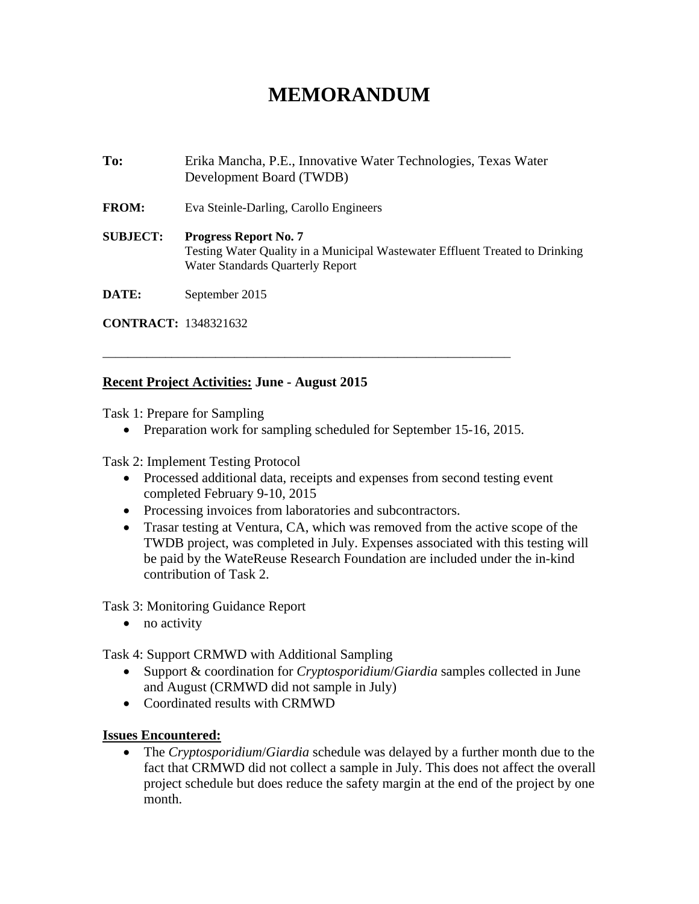## **MEMORANDUM**

**To:** Erika Mancha, P.E., Innovative Water Technologies, Texas Water Development Board (TWDB) **FROM:** Eva Steinle-Darling, Carollo Engineers **SUBJECT: Progress Report No. 7**  Testing Water Quality in a Municipal Wastewater Effluent Treated to Drinking

**DATE:** September 2015

**CONTRACT:** 1348321632

## **Recent Project Activities: June - August 2015**

Water Standards Quarterly Report

Task 1: Prepare for Sampling

• Preparation work for sampling scheduled for September 15-16, 2015.

\_\_\_\_\_\_\_\_\_\_\_\_\_\_\_\_\_\_\_\_\_\_\_\_\_\_\_\_\_\_\_\_\_\_\_\_\_\_\_\_\_\_\_\_\_\_\_\_\_\_\_\_\_\_\_\_\_\_\_\_\_\_\_\_\_

Task 2: Implement Testing Protocol

- Processed additional data, receipts and expenses from second testing event completed February 9-10, 2015
- Processing invoices from laboratories and subcontractors.
- Trasar testing at Ventura, CA, which was removed from the active scope of the TWDB project, was completed in July. Expenses associated with this testing will be paid by the WateReuse Research Foundation are included under the in-kind contribution of Task 2.

Task 3: Monitoring Guidance Report

• no activity

Task 4: Support CRMWD with Additional Sampling

- Support & coordination for *Cryptosporidium*/*Giardia* samples collected in June and August (CRMWD did not sample in July)
- Coordinated results with CRMWD

## **Issues Encountered:**

 The *Cryptosporidium*/*Giardia* schedule was delayed by a further month due to the fact that CRMWD did not collect a sample in July. This does not affect the overall project schedule but does reduce the safety margin at the end of the project by one month.